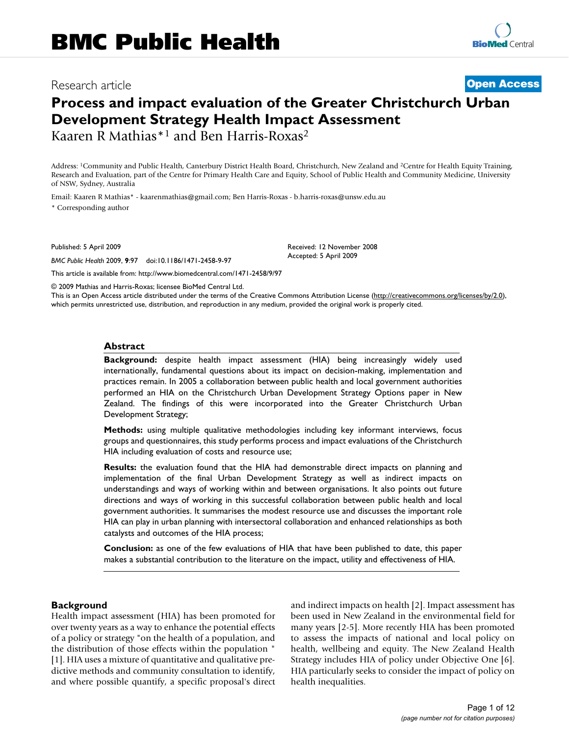## Research article **[Open Access](http://www.biomedcentral.com/info/about/charter/)**

# **Process and impact evaluation of the Greater Christchurch Urban Development Strategy Health Impact Assessment**

Kaaren R Mathias\*1 and Ben Harris-Roxas2

Address: 1Community and Public Health, Canterbury District Health Board, Christchurch, New Zealand and 2Centre for Health Equity Training, Research and Evaluation, part of the Centre for Primary Health Care and Equity, School of Public Health and Community Medicine, University of NSW, Sydney, Australia

Email: Kaaren R Mathias\* - kaarenmathias@gmail.com; Ben Harris-Roxas - b.harris-roxas@unsw.edu.au \* Corresponding author

Published: 5 April 2009

*BMC Public Health* 2009, **9**:97 doi:10.1186/1471-2458-9-97

Received: 12 November 2008 Accepted: 5 April 2009

© 2009 Mathias and Harris-Roxas; licensee BioMed Central Ltd.

[This article is available from: http://www.biomedcentral.com/1471-2458/9/97](http://www.biomedcentral.com/1471-2458/9/97)

This is an Open Access article distributed under the terms of the Creative Commons Attribution License [\(http://creativecommons.org/licenses/by/2.0\)](http://creativecommons.org/licenses/by/2.0), which permits unrestricted use, distribution, and reproduction in any medium, provided the original work is properly cited.

#### **Abstract**

**Background:** despite health impact assessment (HIA) being increasingly widely used internationally, fundamental questions about its impact on decision-making, implementation and practices remain. In 2005 a collaboration between public health and local government authorities performed an HIA on the Christchurch Urban Development Strategy Options paper in New Zealand. The findings of this were incorporated into the Greater Christchurch Urban Development Strategy;

**Methods:** using multiple qualitative methodologies including key informant interviews, focus groups and questionnaires, this study performs process and impact evaluations of the Christchurch HIA including evaluation of costs and resource use;

**Results:** the evaluation found that the HIA had demonstrable direct impacts on planning and implementation of the final Urban Development Strategy as well as indirect impacts on understandings and ways of working within and between organisations. It also points out future directions and ways of working in this successful collaboration between public health and local government authorities. It summarises the modest resource use and discusses the important role HIA can play in urban planning with intersectoral collaboration and enhanced relationships as both catalysts and outcomes of the HIA process;

**Conclusion:** as one of the few evaluations of HIA that have been published to date, this paper makes a substantial contribution to the literature on the impact, utility and effectiveness of HIA.

#### **Background**

Health impact assessment (HIA) has been promoted for over twenty years as a way to enhance the potential effects of a policy or strategy "on the health of a population, and the distribution of those effects within the population " [1]. HIA uses a mixture of quantitative and qualitative predictive methods and community consultation to identify, and where possible quantify, a specific proposal's direct and indirect impacts on health [2]. Impact assessment has been used in New Zealand in the environmental field for many years [2-5]. More recently HIA has been promoted to assess the impacts of national and local policy on health, wellbeing and equity. The New Zealand Health Strategy includes HIA of policy under Objective One [6]. HIA particularly seeks to consider the impact of policy on health inequalities.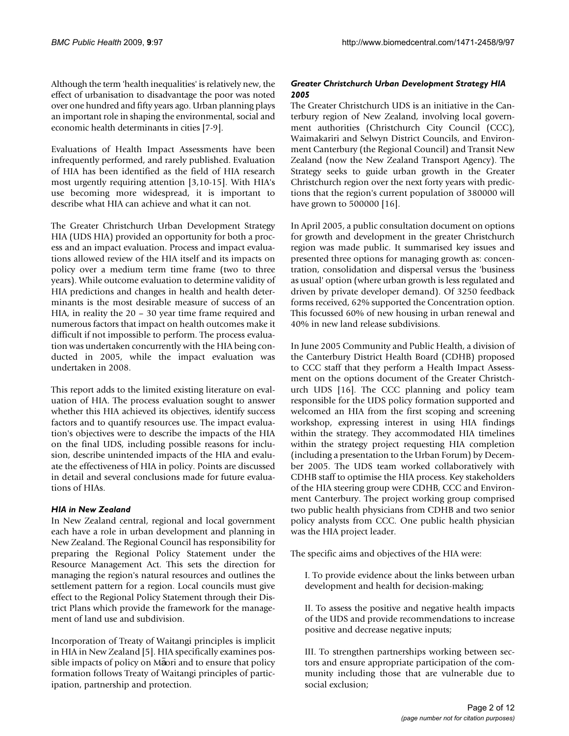Although the term 'health inequalities' is relatively new, the effect of urbanisation to disadvantage the poor was noted over one hundred and fifty years ago. Urban planning plays an important role in shaping the environmental, social and economic health determinants in cities [7-9].

Evaluations of Health Impact Assessments have been infrequently performed, and rarely published. Evaluation of HIA has been identified as the field of HIA research most urgently requiring attention [3,10-15]. With HIA's use becoming more widespread, it is important to describe what HIA can achieve and what it can not.

The Greater Christchurch Urban Development Strategy HIA (UDS HIA) provided an opportunity for both a process and an impact evaluation. Process and impact evaluations allowed review of the HIA itself and its impacts on policy over a medium term time frame (two to three years). While outcome evaluation to determine validity of HIA predictions and changes in health and health determinants is the most desirable measure of success of an HIA, in reality the 20 – 30 year time frame required and numerous factors that impact on health outcomes make it difficult if not impossible to perform. The process evaluation was undertaken concurrently with the HIA being conducted in 2005, while the impact evaluation was undertaken in 2008.

This report adds to the limited existing literature on evaluation of HIA. The process evaluation sought to answer whether this HIA achieved its objectives, identify success factors and to quantify resources use. The impact evaluation's objectives were to describe the impacts of the HIA on the final UDS, including possible reasons for inclusion, describe unintended impacts of the HIA and evaluate the effectiveness of HIA in policy. Points are discussed in detail and several conclusions made for future evaluations of HIAs.

## *HIA in New Zealand*

In New Zealand central, regional and local government each have a role in urban development and planning in New Zealand. The Regional Council has responsibility for preparing the Regional Policy Statement under the Resource Management Act. This sets the direction for managing the region's natural resources and outlines the settlement pattern for a region. Local councils must give effect to the Regional Policy Statement through their District Plans which provide the framework for the management of land use and subdivision.

Incorporation of Treaty of Waitangi principles is implicit in HIA in New Zealand [5]. HIA specifically examines possible impacts of policy on Maori and to ensure that policy formation follows Treaty of Waitangi principles of participation, partnership and protection.

## *Greater Christchurch Urban Development Strategy HIA 2005*

The Greater Christchurch UDS is an initiative in the Canterbury region of New Zealand, involving local government authorities (Christchurch City Council (CCC), Waimakariri and Selwyn District Councils, and Environment Canterbury (the Regional Council) and Transit New Zealand (now the New Zealand Transport Agency). The Strategy seeks to guide urban growth in the Greater Christchurch region over the next forty years with predictions that the region's current population of 380000 will have grown to 500000 [16].

In April 2005, a public consultation document on options for growth and development in the greater Christchurch region was made public. It summarised key issues and presented three options for managing growth as: concentration, consolidation and dispersal versus the 'business as usual' option (where urban growth is less regulated and driven by private developer demand). Of 3250 feedback forms received, 62% supported the Concentration option. This focussed 60% of new housing in urban renewal and 40% in new land release subdivisions.

In June 2005 Community and Public Health, a division of the Canterbury District Health Board (CDHB) proposed to CCC staff that they perform a Health Impact Assessment on the options document of the Greater Christchurch UDS [16]. The CCC planning and policy team responsible for the UDS policy formation supported and welcomed an HIA from the first scoping and screening workshop, expressing interest in using HIA findings within the strategy. They accommodated HIA timelines within the strategy project requesting HIA completion (including a presentation to the Urban Forum) by December 2005. The UDS team worked collaboratively with CDHB staff to optimise the HIA process. Key stakeholders of the HIA steering group were CDHB, CCC and Environment Canterbury. The project working group comprised two public health physicians from CDHB and two senior policy analysts from CCC. One public health physician was the HIA project leader.

The specific aims and objectives of the HIA were:

I. To provide evidence about the links between urban development and health for decision-making;

II. To assess the positive and negative health impacts of the UDS and provide recommendations to increase positive and decrease negative inputs;

III. To strengthen partnerships working between sectors and ensure appropriate participation of the community including those that are vulnerable due to social exclusion;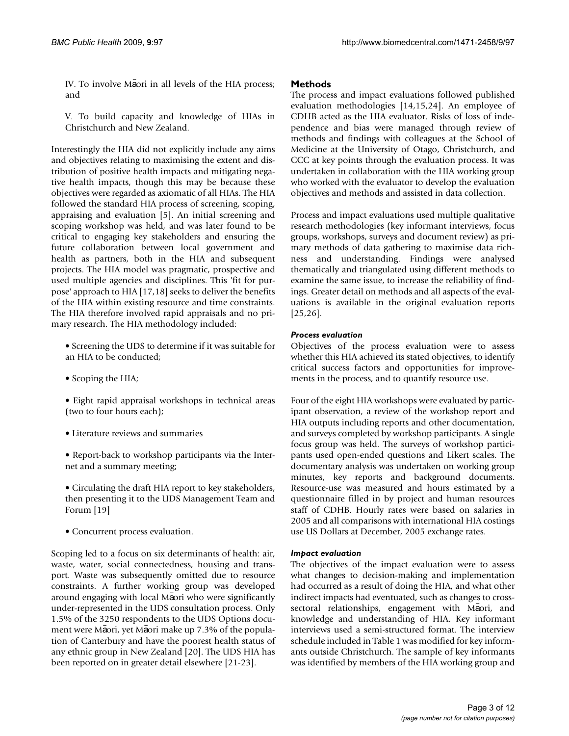IV. To involve Maori in all levels of the HIA process; and

V. To build capacity and knowledge of HIAs in Christchurch and New Zealand.

Interestingly the HIA did not explicitly include any aims and objectives relating to maximising the extent and distribution of positive health impacts and mitigating negative health impacts, though this may be because these objectives were regarded as axiomatic of all HIAs. The HIA followed the standard HIA process of screening, scoping, appraising and evaluation [5]. An initial screening and scoping workshop was held, and was later found to be critical to engaging key stakeholders and ensuring the future collaboration between local government and health as partners, both in the HIA and subsequent projects. The HIA model was pragmatic, prospective and used multiple agencies and disciplines. This 'fit for purpose' approach to HIA [17,18] seeks to deliver the benefits of the HIA within existing resource and time constraints. The HIA therefore involved rapid appraisals and no primary research. The HIA methodology included:

- Screening the UDS to determine if it was suitable for an HIA to be conducted;
- Scoping the HIA;
- Eight rapid appraisal workshops in technical areas (two to four hours each);
- Literature reviews and summaries
- Report-back to workshop participants via the Internet and a summary meeting;
- Circulating the draft HIA report to key stakeholders, then presenting it to the UDS Management Team and Forum [19]
- Concurrent process evaluation.

Scoping led to a focus on six determinants of health: air, waste, water, social connectedness, housing and transport. Waste was subsequently omitted due to resource constraints. A further working group was developed around engaging with local Maori who were significantly under-represented in the UDS consultation process. Only 1.5% of the 3250 respondents to the UDS Options document were Maori, yet Maori make up 7.3% of the population of Canterbury and have the poorest health status of any ethnic group in New Zealand [20]. The UDS HIA has been reported on in greater detail elsewhere [21-23].

## **Methods**

The process and impact evaluations followed published evaluation methodologies [14,15,24]. An employee of CDHB acted as the HIA evaluator. Risks of loss of independence and bias were managed through review of methods and findings with colleagues at the School of Medicine at the University of Otago, Christchurch, and CCC at key points through the evaluation process. It was undertaken in collaboration with the HIA working group who worked with the evaluator to develop the evaluation objectives and methods and assisted in data collection.

Process and impact evaluations used multiple qualitative research methodologies (key informant interviews, focus groups, workshops, surveys and document review) as primary methods of data gathering to maximise data richness and understanding. Findings were analysed thematically and triangulated using different methods to examine the same issue, to increase the reliability of findings. Greater detail on methods and all aspects of the evaluations is available in the original evaluation reports [25,26].

## *Process evaluation*

Objectives of the process evaluation were to assess whether this HIA achieved its stated objectives, to identify critical success factors and opportunities for improvements in the process, and to quantify resource use.

Four of the eight HIA workshops were evaluated by participant observation, a review of the workshop report and HIA outputs including reports and other documentation, and surveys completed by workshop participants. A single focus group was held. The surveys of workshop participants used open-ended questions and Likert scales. The documentary analysis was undertaken on working group minutes, key reports and background documents. Resource-use was measured and hours estimated by a questionnaire filled in by project and human resources staff of CDHB. Hourly rates were based on salaries in 2005 and all comparisons with international HIA costings use US Dollars at December, 2005 exchange rates.

## *Impact evaluation*

The objectives of the impact evaluation were to assess what changes to decision-making and implementation had occurred as a result of doing the HIA, and what other indirect impacts had eventuated, such as changes to crosssectoral relationships, engagement with Maori, and knowledge and understanding of HIA. Key informant interviews used a semi-structured format. The interview schedule included in Table 1 was modified for key informants outside Christchurch. The sample of key informants was identified by members of the HIA working group and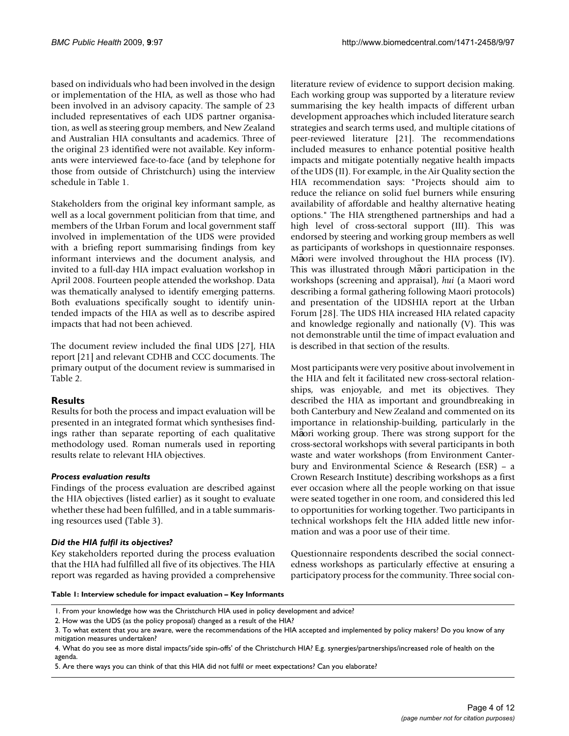based on individuals who had been involved in the design or implementation of the HIA, as well as those who had been involved in an advisory capacity. The sample of 23 included representatives of each UDS partner organisation, as well as steering group members, and New Zealand and Australian HIA consultants and academics. Three of the original 23 identified were not available. Key informants were interviewed face-to-face (and by telephone for those from outside of Christchurch) using the interview schedule in Table 1.

Stakeholders from the original key informant sample, as well as a local government politician from that time, and members of the Urban Forum and local government staff involved in implementation of the UDS were provided with a briefing report summarising findings from key informant interviews and the document analysis, and invited to a full-day HIA impact evaluation workshop in April 2008. Fourteen people attended the workshop. Data was thematically analysed to identify emerging patterns. Both evaluations specifically sought to identify unintended impacts of the HIA as well as to describe aspired impacts that had not been achieved.

The document review included the final UDS [27], HIA report [21] and relevant CDHB and CCC documents. The primary output of the document review is summarised in Table 2.

## **Results**

Results for both the process and impact evaluation will be presented in an integrated format which synthesises findings rather than separate reporting of each qualitative methodology used. Roman numerals used in reporting results relate to relevant HIA objectives.

## *Process evaluation results*

Findings of the process evaluation are described against the HIA objectives (listed earlier) as it sought to evaluate whether these had been fulfilled, and in a table summarising resources used (Table 3).

## *Did the HIA fulfil its objectives?*

Key stakeholders reported during the process evaluation that the HIA had fulfilled all five of its objectives. The HIA report was regarded as having provided a comprehensive literature review of evidence to support decision making. Each working group was supported by a literature review summarising the key health impacts of different urban development approaches which included literature search strategies and search terms used, and multiple citations of peer-reviewed literature [21]. The recommendations included measures to enhance potential positive health impacts and mitigate potentially negative health impacts of the UDS (II). For example, in the Air Quality section the HIA recommendation says: "Projects should aim to reduce the reliance on solid fuel burners while ensuring availability of affordable and healthy alternative heating options." The HIA strengthened partnerships and had a high level of cross-sectoral support (III). This was endorsed by steering and working group members as well as participants of workshops in questionnaire responses. Maori were involved throughout the HIA process  $(IV)$ . This was illustrated through Maori participation in the workshops (screening and appraisal), *hui* (a Maori word describing a formal gathering following Maori protocols) and presentation of the UDSHIA report at the Urban Forum [28]. The UDS HIA increased HIA related capacity and knowledge regionally and nationally (V). This was not demonstrable until the time of impact evaluation and is described in that section of the results.

Most participants were very positive about involvement in the HIA and felt it facilitated new cross-sectoral relationships, was enjoyable, and met its objectives. They described the HIA as important and groundbreaking in both Canterbury and New Zealand and commented on its importance in relationship-building, particularly in the Maori working group. There was strong support for the cross-sectoral workshops with several participants in both waste and water workshops (from Environment Canterbury and Environmental Science & Research (ESR) – a Crown Research Institute) describing workshops as a first ever occasion where all the people working on that issue were seated together in one room, and considered this led to opportunities for working together. Two participants in technical workshops felt the HIA added little new information and was a poor use of their time.

Questionnaire respondents described the social connectedness workshops as particularly effective at ensuring a participatory process for the community. Three social con-

**Table 1: Interview schedule for impact evaluation – Key Informants**

<sup>1.</sup> From your knowledge how was the Christchurch HIA used in policy development and advice?

<sup>2.</sup> How was the UDS (as the policy proposal) changed as a result of the HIA?

<sup>3.</sup> To what extent that you are aware, were the recommendations of the HIA accepted and implemented by policy makers? Do you know of any mitigation measures undertaken?

<sup>4.</sup> What do you see as more distal impacts/'side spin-offs' of the Christchurch HIA? E.g. synergies/partnerships/increased role of health on the agenda.

<sup>5.</sup> Are there ways you can think of that this HIA did not fulfil or meet expectations? Can you elaborate?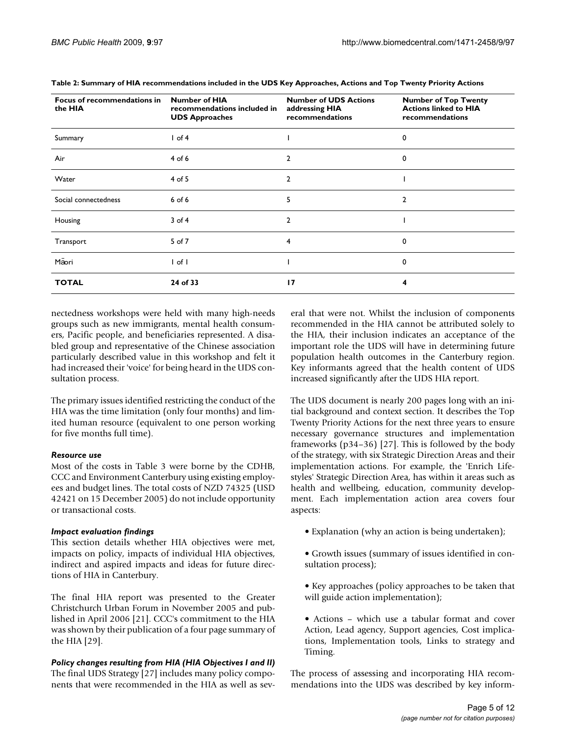| Focus of recommendations in<br>the HIA | <b>Number of HIA</b><br>recommendations included in<br><b>UDS Approaches</b> | <b>Number of UDS Actions</b><br>addressing HIA<br>recommendations | <b>Number of Top Twenty</b><br><b>Actions linked to HIA</b><br>recommendations |  |
|----------------------------------------|------------------------------------------------------------------------------|-------------------------------------------------------------------|--------------------------------------------------------------------------------|--|
| Summary                                | $I$ of 4                                                                     |                                                                   | 0                                                                              |  |
| Air                                    | $4$ of 6                                                                     | $\mathbf{2}$                                                      | 0                                                                              |  |
| Water                                  | $4$ of 5                                                                     | $\overline{2}$                                                    |                                                                                |  |
| Social connectedness                   | $6$ of $6$                                                                   | 5                                                                 | 2                                                                              |  |
| Housing                                | $3$ of $4$                                                                   | 2                                                                 |                                                                                |  |
| Transport                              | 5 of 7                                                                       | 4                                                                 | 0                                                                              |  |
| Maori                                  | $I$ of $I$                                                                   |                                                                   | 0                                                                              |  |
| <b>TOTAL</b>                           | 24 of 33                                                                     | $\overline{17}$                                                   | 4                                                                              |  |

**Table 2: Summary of HIA recommendations included in the UDS Key Approaches, Actions and Top Twenty Priority Actions**

nectedness workshops were held with many high-needs groups such as new immigrants, mental health consumers, Pacific people, and beneficiaries represented. A disabled group and representative of the Chinese association particularly described value in this workshop and felt it had increased their 'voice' for being heard in the UDS consultation process.

The primary issues identified restricting the conduct of the HIA was the time limitation (only four months) and limited human resource (equivalent to one person working for five months full time).

#### *Resource use*

Most of the costs in Table 3 were borne by the CDHB, CCC and Environment Canterbury using existing employees and budget lines. The total costs of NZD 74325 (USD 42421 on 15 December 2005) do not include opportunity or transactional costs.

## *Impact evaluation findings*

This section details whether HIA objectives were met, impacts on policy, impacts of individual HIA objectives, indirect and aspired impacts and ideas for future directions of HIA in Canterbury.

The final HIA report was presented to the Greater Christchurch Urban Forum in November 2005 and published in April 2006 [21]. CCC's commitment to the HIA was shown by their publication of a four page summary of the HIA [29].

*Policy changes resulting from HIA (HIA Objectives I and II)* The final UDS Strategy [27] includes many policy components that were recommended in the HIA as well as several that were not. Whilst the inclusion of components recommended in the HIA cannot be attributed solely to the HIA, their inclusion indicates an acceptance of the important role the UDS will have in determining future population health outcomes in the Canterbury region. Key informants agreed that the health content of UDS increased significantly after the UDS HIA report.

The UDS document is nearly 200 pages long with an initial background and context section. It describes the Top Twenty Priority Actions for the next three years to ensure necessary governance structures and implementation frameworks (p34–36) [27]. This is followed by the body of the strategy, with six Strategic Direction Areas and their implementation actions. For example, the 'Enrich Lifestyles' Strategic Direction Area, has within it areas such as health and wellbeing, education, community development. Each implementation action area covers four aspects:

- Explanation (why an action is being undertaken);
- Growth issues (summary of issues identified in consultation process);
- Key approaches (policy approaches to be taken that will guide action implementation);
- Actions which use a tabular format and cover Action, Lead agency, Support agencies, Cost implications, Implementation tools, Links to strategy and Timing.

The process of assessing and incorporating HIA recommendations into the UDS was described by key inform-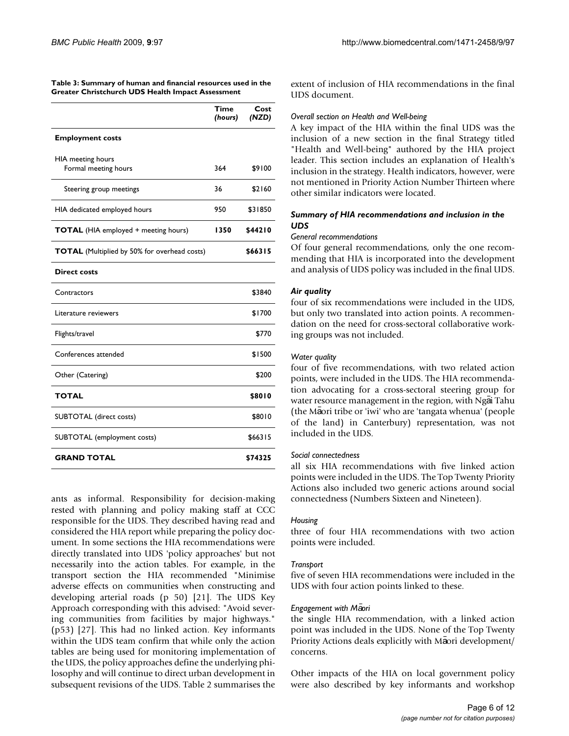| Table 3: Summary of human and financial resources used in the |
|---------------------------------------------------------------|
| <b>Greater Christchurch UDS Health Impact Assessment</b>      |

|                                                     | Time<br>(hours) | Cost<br>(NZD) |
|-----------------------------------------------------|-----------------|---------------|
| <b>Employment costs</b>                             |                 |               |
| HIA meeting hours<br>Formal meeting hours           | 364             | \$9100        |
| Steering group meetings                             | 36              | \$2160        |
| HIA dedicated employed hours                        | 950             | \$31850       |
| <b>TOTAL</b> (HIA employed + meeting hours)         | 1350            | \$44210       |
| <b>TOTAL</b> (Multiplied by 50% for overhead costs) |                 | \$66315       |
| <b>Direct costs</b>                                 |                 |               |
| Contractors                                         |                 | \$3840        |
| Literature reviewers                                |                 | \$1700        |
| Flights/travel                                      |                 | \$770         |
| Conferences attended                                |                 | \$1500        |
| Other (Catering)                                    |                 | \$200         |
| <b>TOTAL</b>                                        |                 | \$8010        |
| SUBTOTAL (direct costs)                             |                 | \$8010        |
| SUBTOTAL (employment costs)                         |                 | \$66315       |
| <b>GRAND TOTAL</b>                                  |                 | \$74325       |

ants as informal. Responsibility for decision-making rested with planning and policy making staff at CCC responsible for the UDS. They described having read and considered the HIA report while preparing the policy document. In some sections the HIA recommendations were directly translated into UDS 'policy approaches' but not necessarily into the action tables. For example, in the transport section the HIA recommended "Minimise adverse effects on communities when constructing and developing arterial roads (p 50) [21]. The UDS Key Approach corresponding with this advised: "Avoid severing communities from facilities by major highways." (p53) [27]. This had no linked action. Key informants within the UDS team confirm that while only the action tables are being used for monitoring implementation of the UDS, the policy approaches define the underlying philosophy and will continue to direct urban development in subsequent revisions of the UDS. Table 2 summarises the extent of inclusion of HIA recommendations in the final UDS document.

#### *Overall section on Health and Well-being*

A key impact of the HIA within the final UDS was the inclusion of a new section in the final Strategy titled "Health and Well-being" authored by the HIA project leader. This section includes an explanation of Health's inclusion in the strategy. Health indicators, however, were not mentioned in Priority Action Number Thirteen where other similar indicators were located.

## *Summary of HIA recommendations and inclusion in the UDS*

#### *General recommendations*

Of four general recommendations, only the one recommending that HIA is incorporated into the development and analysis of UDS policy was included in the final UDS.

#### *Air quality*

four of six recommendations were included in the UDS, but only two translated into action points. A recommendation on the need for cross-sectoral collaborative working groups was not included.

#### *Water quality*

four of five recommendations, with two related action points, were included in the UDS. The HIA recommendation advocating for a cross-sectoral steering group for water resource management in the region, with Ngai Tahu (the Maori tribe or 'iwi' who are 'tangata whenua' (people) of the land) in Canterbury) representation, was not included in the UDS.

#### *Social connectedness*

all six HIA recommendations with five linked action points were included in the UDS. The Top Twenty Priority Actions also included two generic actions around social connectedness (Numbers Sixteen and Nineteen).

#### *Housing*

three of four HIA recommendations with two action points were included.

#### *Transport*

five of seven HIA recommendations were included in the UDS with four action points linked to these.

#### *<i>Engagement with Maori*

the single HIA recommendation, with a linked action point was included in the UDS. None of the Top Twenty Priority Actions deals explicitly with Maori development/ concerns.

Other impacts of the HIA on local government policy were also described by key informants and workshop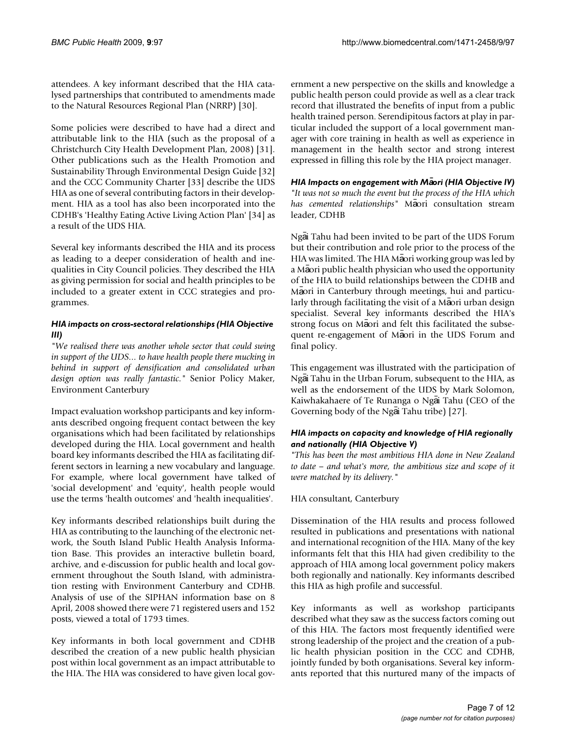attendees. A key informant described that the HIA catalysed partnerships that contributed to amendments made to the Natural Resources Regional Plan (NRRP) [30].

Some policies were described to have had a direct and attributable link to the HIA (such as the proposal of a Christchurch City Health Development Plan, 2008) [31]. Other publications such as the Health Promotion and Sustainability Through Environmental Design Guide [32] and the CCC Community Charter [33] describe the UDS HIA as one of several contributing factors in their development. HIA as a tool has also been incorporated into the CDHB's 'Healthy Eating Active Living Action Plan' [34] as a result of the UDS HIA.

Several key informants described the HIA and its process as leading to a deeper consideration of health and inequalities in City Council policies. They described the HIA as giving permission for social and health principles to be included to a greater extent in CCC strategies and programmes.

## *HIA impacts on cross-sectoral relationships (HIA Objective III)*

*"We realised there was another whole sector that could swing in support of the UDS... to have health people there mucking in behind in support of densification and consolidated urban design option was really fantastic."* Senior Policy Maker, Environment Canterbury

Impact evaluation workshop participants and key informants described ongoing frequent contact between the key organisations which had been facilitated by relationships developed during the HIA. Local government and health board key informants described the HIA as facilitating different sectors in learning a new vocabulary and language. For example, where local government have talked of 'social development' and 'equity', health people would use the terms 'health outcomes' and 'health inequalities'.

Key informants described relationships built during the HIA as contributing to the launching of the electronic network, the South Island Public Health Analysis Information Base. This provides an interactive bulletin board, archive, and e-discussion for public health and local government throughout the South Island, with administration resting with Environment Canterbury and CDHB. Analysis of use of the SIPHAN information base on 8 April, 2008 showed there were 71 registered users and 152 posts, viewed a total of 1793 times.

Key informants in both local government and CDHB described the creation of a new public health physician post within local government as an impact attributable to the HIA. The HIA was considered to have given local government a new perspective on the skills and knowledge a public health person could provide as well as a clear track record that illustrated the benefits of input from a public health trained person. Serendipitous factors at play in particular included the support of a local government manager with core training in health as well as experience in management in the health sector and strong interest expressed in filling this role by the HIA project manager.

## *HIA Impacts on engagement with Maori (HIA Objective IV)*

*"It was not so much the event but the process of the HIA which* has cemented relationships" Maori consultation stream leader, CDHB

Ngai Tahu had been invited to be part of the UDS Forum but their contribution and role prior to the process of the HIA was limited. The HIA Maori working group was led by a Maori public health physician who used the opportunity of the HIA to build relationships between the CDHB and Maori in Canterbury through meetings, hui and particularly through facilitating the visit of a Maori urban design specialist. Several key informants described the HIA's strong focus on Maori and felt this facilitated the subsequent re-engagement of Maori in the UDS Forum and final policy.

This engagement was illustrated with the participation of Ngai Tahu in the Urban Forum, subsequent to the HIA, as well as the endorsement of the UDS by Mark Solomon, Kaiwhakahaere of Te Runanga o Ngai Tahu (CEO of the Governing body of the Ngai Tahu tribe) [27].

#### *HIA impacts on capacity and knowledge of HIA regionally and nationally (HIA Objective V)*

*"This has been the most ambitious HIA done in New Zealand to date – and what's more, the ambitious size and scope of it were matched by its delivery."*

## HIA consultant, Canterbury

Dissemination of the HIA results and process followed resulted in publications and presentations with national and international recognition of the HIA. Many of the key informants felt that this HIA had given credibility to the approach of HIA among local government policy makers both regionally and nationally. Key informants described this HIA as high profile and successful.

Key informants as well as workshop participants described what they saw as the success factors coming out of this HIA. The factors most frequently identified were strong leadership of the project and the creation of a public health physician position in the CCC and CDHB, jointly funded by both organisations. Several key informants reported that this nurtured many of the impacts of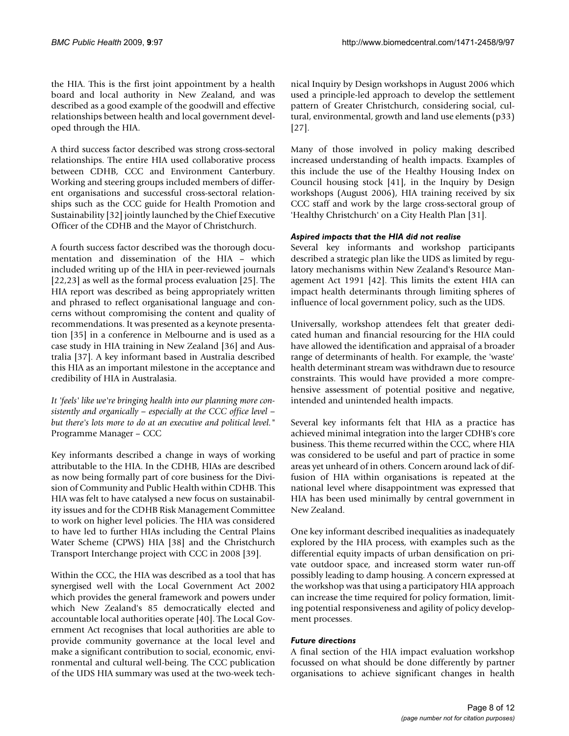the HIA. This is the first joint appointment by a health board and local authority in New Zealand, and was described as a good example of the goodwill and effective relationships between health and local government developed through the HIA.

A third success factor described was strong cross-sectoral relationships. The entire HIA used collaborative process between CDHB, CCC and Environment Canterbury. Working and steering groups included members of different organisations and successful cross-sectoral relationships such as the CCC guide for Health Promotion and Sustainability [32] jointly launched by the Chief Executive Officer of the CDHB and the Mayor of Christchurch.

A fourth success factor described was the thorough documentation and dissemination of the HIA – which included writing up of the HIA in peer-reviewed journals [22,23] as well as the formal process evaluation [25]. The HIA report was described as being appropriately written and phrased to reflect organisational language and concerns without compromising the content and quality of recommendations. It was presented as a keynote presentation [35] in a conference in Melbourne and is used as a case study in HIA training in New Zealand [36] and Australia [37]. A key informant based in Australia described this HIA as an important milestone in the acceptance and credibility of HIA in Australasia.

*It 'feels' like we're bringing health into our planning more consistently and organically – especially at the CCC office level – but there's lots more to do at an executive and political level."* Programme Manager – CCC

Key informants described a change in ways of working attributable to the HIA. In the CDHB, HIAs are described as now being formally part of core business for the Division of Community and Public Health within CDHB. This HIA was felt to have catalysed a new focus on sustainability issues and for the CDHB Risk Management Committee to work on higher level policies. The HIA was considered to have led to further HIAs including the Central Plains Water Scheme (CPWS) HIA [38] and the Christchurch Transport Interchange project with CCC in 2008 [39].

Within the CCC, the HIA was described as a tool that has synergised well with the Local Government Act 2002 which provides the general framework and powers under which New Zealand's 85 democratically elected and accountable local authorities operate [40]. The Local Government Act recognises that local authorities are able to provide community governance at the local level and make a significant contribution to social, economic, environmental and cultural well-being. The CCC publication of the UDS HIA summary was used at the two-week technical Inquiry by Design workshops in August 2006 which used a principle-led approach to develop the settlement pattern of Greater Christchurch, considering social, cultural, environmental, growth and land use elements (p33) [27].

Many of those involved in policy making described increased understanding of health impacts. Examples of this include the use of the Healthy Housing Index on Council housing stock [41], in the Inquiry by Design workshops (August 2006), HIA training received by six CCC staff and work by the large cross-sectoral group of 'Healthy Christchurch' on a City Health Plan [31].

#### *Aspired impacts that the HIA did not realise*

Several key informants and workshop participants described a strategic plan like the UDS as limited by regulatory mechanisms within New Zealand's Resource Management Act 1991 [42]. This limits the extent HIA can impact health determinants through limiting spheres of influence of local government policy, such as the UDS.

Universally, workshop attendees felt that greater dedicated human and financial resourcing for the HIA could have allowed the identification and appraisal of a broader range of determinants of health. For example, the 'waste' health determinant stream was withdrawn due to resource constraints. This would have provided a more comprehensive assessment of potential positive and negative, intended and unintended health impacts.

Several key informants felt that HIA as a practice has achieved minimal integration into the larger CDHB's core business. This theme recurred within the CCC, where HIA was considered to be useful and part of practice in some areas yet unheard of in others. Concern around lack of diffusion of HIA within organisations is repeated at the national level where disappointment was expressed that HIA has been used minimally by central government in New Zealand.

One key informant described inequalities as inadequately explored by the HIA process, with examples such as the differential equity impacts of urban densification on private outdoor space, and increased storm water run-off possibly leading to damp housing. A concern expressed at the workshop was that using a participatory HIA approach can increase the time required for policy formation, limiting potential responsiveness and agility of policy development processes.

#### *Future directions*

A final section of the HIA impact evaluation workshop focussed on what should be done differently by partner organisations to achieve significant changes in health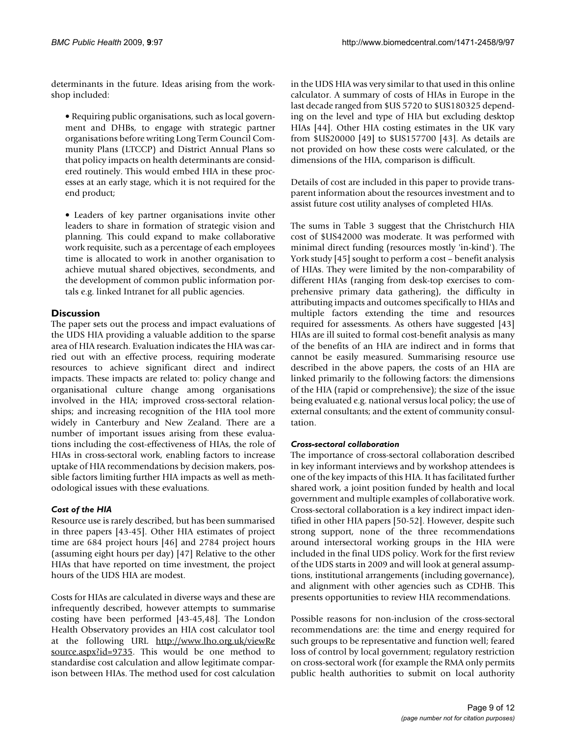determinants in the future. Ideas arising from the workshop included:

• Requiring public organisations, such as local government and DHBs, to engage with strategic partner organisations before writing Long Term Council Community Plans (LTCCP) and District Annual Plans so that policy impacts on health determinants are considered routinely. This would embed HIA in these processes at an early stage, which it is not required for the end product;

• Leaders of key partner organisations invite other leaders to share in formation of strategic vision and planning. This could expand to make collaborative work requisite, such as a percentage of each employees time is allocated to work in another organisation to achieve mutual shared objectives, secondments, and the development of common public information portals e.g. linked Intranet for all public agencies.

## **Discussion**

The paper sets out the process and impact evaluations of the UDS HIA providing a valuable addition to the sparse area of HIA research. Evaluation indicates the HIA was carried out with an effective process, requiring moderate resources to achieve significant direct and indirect impacts. These impacts are related to: policy change and organisational culture change among organisations involved in the HIA; improved cross-sectoral relationships; and increasing recognition of the HIA tool more widely in Canterbury and New Zealand. There are a number of important issues arising from these evaluations including the cost-effectiveness of HIAs, the role of HIAs in cross-sectoral work, enabling factors to increase uptake of HIA recommendations by decision makers, possible factors limiting further HIA impacts as well as methodological issues with these evaluations.

## *Cost of the HIA*

Resource use is rarely described, but has been summarised in three papers [43-45]. Other HIA estimates of project time are 684 project hours [46] and 2784 project hours (assuming eight hours per day) [47] Relative to the other HIAs that have reported on time investment, the project hours of the UDS HIA are modest.

Costs for HIAs are calculated in diverse ways and these are infrequently described, however attempts to summarise costing have been performed [43-45,48]. The London Health Observatory provides an HIA cost calculator tool at the following URL [http://www.lho.org.uk/viewRe](http://www.lho.org.uk/viewResource.aspx?id=9735) [source.aspx?id=9735.](http://www.lho.org.uk/viewResource.aspx?id=9735) This would be one method to standardise cost calculation and allow legitimate comparison between HIAs. The method used for cost calculation in the UDS HIA was very similar to that used in this online calculator. A summary of costs of HIAs in Europe in the last decade ranged from \$US 5720 to \$US180325 depending on the level and type of HIA but excluding desktop HIAs [44]. Other HIA costing estimates in the UK vary from \$US20000 [49] to \$US157700 [43]. As details are not provided on how these costs were calculated, or the dimensions of the HIA, comparison is difficult.

Details of cost are included in this paper to provide transparent information about the resources investment and to assist future cost utility analyses of completed HIAs.

The sums in Table 3 suggest that the Christchurch HIA cost of \$US42000 was moderate. It was performed with minimal direct funding (resources mostly 'in-kind'). The York study [45] sought to perform a cost – benefit analysis of HIAs. They were limited by the non-comparability of different HIAs (ranging from desk-top exercises to comprehensive primary data gathering), the difficulty in attributing impacts and outcomes specifically to HIAs and multiple factors extending the time and resources required for assessments. As others have suggested [43] HIAs are ill suited to formal cost-benefit analysis as many of the benefits of an HIA are indirect and in forms that cannot be easily measured. Summarising resource use described in the above papers, the costs of an HIA are linked primarily to the following factors: the dimensions of the HIA (rapid or comprehensive); the size of the issue being evaluated e.g. national versus local policy; the use of external consultants; and the extent of community consultation.

## *Cross-sectoral collaboration*

The importance of cross-sectoral collaboration described in key informant interviews and by workshop attendees is one of the key impacts of this HIA. It has facilitated further shared work, a joint position funded by health and local government and multiple examples of collaborative work. Cross-sectoral collaboration is a key indirect impact identified in other HIA papers [50-52]. However, despite such strong support, none of the three recommendations around intersectoral working groups in the HIA were included in the final UDS policy. Work for the first review of the UDS starts in 2009 and will look at general assumptions, institutional arrangements (including governance), and alignment with other agencies such as CDHB. This presents opportunities to review HIA recommendations.

Possible reasons for non-inclusion of the cross-sectoral recommendations are: the time and energy required for such groups to be representative and function well; feared loss of control by local government; regulatory restriction on cross-sectoral work (for example the RMA only permits public health authorities to submit on local authority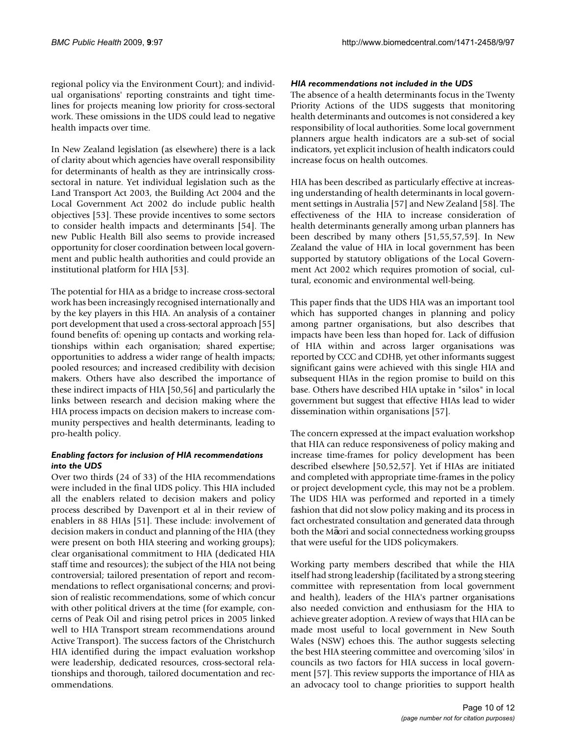regional policy via the Environment Court); and individual organisations' reporting constraints and tight timelines for projects meaning low priority for cross-sectoral work. These omissions in the UDS could lead to negative health impacts over time.

In New Zealand legislation (as elsewhere) there is a lack of clarity about which agencies have overall responsibility for determinants of health as they are intrinsically crosssectoral in nature. Yet individual legislation such as the Land Transport Act 2003, the Building Act 2004 and the Local Government Act 2002 do include public health objectives [53]. These provide incentives to some sectors to consider health impacts and determinants [54]. The new Public Health Bill also seems to provide increased opportunity for closer coordination between local government and public health authorities and could provide an institutional platform for HIA [53].

The potential for HIA as a bridge to increase cross-sectoral work has been increasingly recognised internationally and by the key players in this HIA. An analysis of a container port development that used a cross-sectoral approach [55] found benefits of: opening up contacts and working relationships within each organisation; shared expertise; opportunities to address a wider range of health impacts; pooled resources; and increased credibility with decision makers. Others have also described the importance of these indirect impacts of HIA [50,56] and particularly the links between research and decision making where the HIA process impacts on decision makers to increase community perspectives and health determinants, leading to pro-health policy.

## *Enabling factors for inclusion of HIA recommendations into the UDS*

Over two thirds (24 of 33) of the HIA recommendations were included in the final UDS policy. This HIA included all the enablers related to decision makers and policy process described by Davenport et al in their review of enablers in 88 HIAs [51]. These include: involvement of decision makers in conduct and planning of the HIA (they were present on both HIA steering and working groups); clear organisational commitment to HIA (dedicated HIA staff time and resources); the subject of the HIA not being controversial; tailored presentation of report and recommendations to reflect organisational concerns; and provision of realistic recommendations, some of which concur with other political drivers at the time (for example, concerns of Peak Oil and rising petrol prices in 2005 linked well to HIA Transport stream recommendations around Active Transport). The success factors of the Christchurch HIA identified during the impact evaluation workshop were leadership, dedicated resources, cross-sectoral relationships and thorough, tailored documentation and recommendations.

## *HIA recommendations not included in the UDS*

The absence of a health determinants focus in the Twenty Priority Actions of the UDS suggests that monitoring health determinants and outcomes is not considered a key responsibility of local authorities. Some local government planners argue health indicators are a sub-set of social indicators, yet explicit inclusion of health indicators could increase focus on health outcomes.

HIA has been described as particularly effective at increasing understanding of health determinants in local government settings in Australia [57] and New Zealand [58]. The effectiveness of the HIA to increase consideration of health determinants generally among urban planners has been described by many others [51,55,57,59]. In New Zealand the value of HIA in local government has been supported by statutory obligations of the Local Government Act 2002 which requires promotion of social, cultural, economic and environmental well-being.

This paper finds that the UDS HIA was an important tool which has supported changes in planning and policy among partner organisations, but also describes that impacts have been less than hoped for. Lack of diffusion of HIA within and across larger organisations was reported by CCC and CDHB, yet other informants suggest significant gains were achieved with this single HIA and subsequent HIAs in the region promise to build on this base. Others have described HIA uptake in "silos" in local government but suggest that effective HIAs lead to wider dissemination within organisations [57].

The concern expressed at the impact evaluation workshop that HIA can reduce responsiveness of policy making and increase time-frames for policy development has been described elsewhere [50,52,57]. Yet if HIAs are initiated and completed with appropriate time-frames in the policy or project development cycle, this may not be a problem. The UDS HIA was performed and reported in a timely fashion that did not slow policy making and its process in fact orchestrated consultation and generated data through both the Ma<sub>ori</sub> and social connectedness working groupss that were useful for the UDS policymakers.

Working party members described that while the HIA itself had strong leadership (facilitated by a strong steering committee with representation from local government and health), leaders of the HIA's partner organisations also needed conviction and enthusiasm for the HIA to achieve greater adoption. A review of ways that HIA can be made most useful to local government in New South Wales (NSW) echoes this. The author suggests selecting the best HIA steering committee and overcoming 'silos' in councils as two factors for HIA success in local government [57]. This review supports the importance of HIA as an advocacy tool to change priorities to support health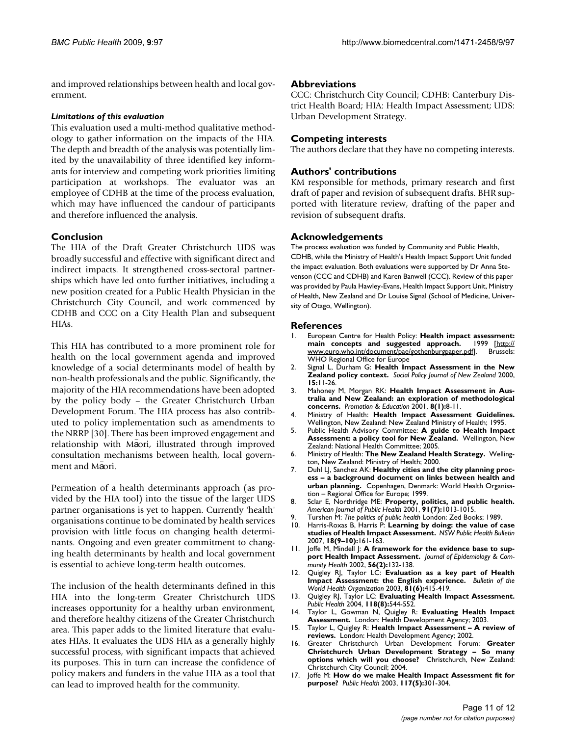and improved relationships between health and local government.

#### *Limitations of this evaluation*

This evaluation used a multi-method qualitative methodology to gather information on the impacts of the HIA. The depth and breadth of the analysis was potentially limited by the unavailability of three identified key informants for interview and competing work priorities limiting participation at workshops. The evaluator was an employee of CDHB at the time of the process evaluation, which may have influenced the candour of participants and therefore influenced the analysis.

## **Conclusion**

The HIA of the Draft Greater Christchurch UDS was broadly successful and effective with significant direct and indirect impacts. It strengthened cross-sectoral partnerships which have led onto further initiatives, including a new position created for a Public Health Physician in the Christchurch City Council, and work commenced by CDHB and CCC on a City Health Plan and subsequent **HIAs**.

This HIA has contributed to a more prominent role for health on the local government agenda and improved knowledge of a social determinants model of health by non-health professionals and the public. Significantly, the majority of the HIA recommendations have been adopted by the policy body – the Greater Christchurch Urban Development Forum. The HIA process has also contributed to policy implementation such as amendments to the NRRP [30]. There has been improved engagement and relationship with Maori, illustrated through improved consultation mechanisms between health, local government and Maori.

Permeation of a health determinants approach (as provided by the HIA tool) into the tissue of the larger UDS partner organisations is yet to happen. Currently 'health' organisations continue to be dominated by health services provision with little focus on changing health determinants. Ongoing and even greater commitment to changing health determinants by health and local government is essential to achieve long-term health outcomes.

The inclusion of the health determinants defined in this HIA into the long-term Greater Christchurch UDS increases opportunity for a healthy urban environment, and therefore healthy citizens of the Greater Christchurch area. This paper adds to the limited literature that evaluates HIAs. It evaluates the UDS HIA as a generally highly successful process, with significant impacts that achieved its purposes. This in turn can increase the confidence of policy makers and funders in the value HIA as a tool that can lead to improved health for the community.

#### **Abbreviations**

CCC: Christchurch City Council; CDHB: Canterbury District Health Board; HIA: Health Impact Assessment; UDS: Urban Development Strategy.

#### **Competing interests**

The authors declare that they have no competing interests.

## **Authors' contributions**

KM responsible for methods, primary research and first draft of paper and revision of subsequent drafts. BHR supported with literature review, drafting of the paper and revision of subsequent drafts.

#### **Acknowledgements**

The process evaluation was funded by Community and Public Health, CDHB, while the Ministry of Health's Health Impact Support Unit funded the impact evaluation. Both evaluations were supported by Dr Anna Stevenson (CCC and CDHB) and Karen Banwell (CCC). Review of this paper was provided by Paula Hawley-Evans, Health Impact Support Unit, Ministry of Health, New Zealand and Dr Louise Signal (School of Medicine, University of Otago, Wellington).

#### **References**

- 1. European Centre for Health Policy: **Health impact assessment:** main concepts and suggested approach. [www.euro.who.int/document/pae/gothenburgpaper.pdf](http://www.euro.who.int/document/pae/gothenburgpaper.pdf)]. Brussels: WHO Regional Office for Europe
- 2. Signal L, Durham G: **Health Impact Assessment in the New Zealand policy context.** *Social Policy Journal of New Zealand* 2000, **15:**11-26.
- 3. Mahoney M, Morgan RK: **[Health Impact Assessment in Aus](http://www.ncbi.nlm.nih.gov/entrez/query.fcgi?cmd=Retrieve&db=PubMed&dopt=Abstract&list_uids=11379436)[tralia and New Zealand: an exploration of methodological](http://www.ncbi.nlm.nih.gov/entrez/query.fcgi?cmd=Retrieve&db=PubMed&dopt=Abstract&list_uids=11379436) [concerns.](http://www.ncbi.nlm.nih.gov/entrez/query.fcgi?cmd=Retrieve&db=PubMed&dopt=Abstract&list_uids=11379436)** *Promotion & Education* 2001, **8(1):**8-11.
- 4. Ministry of Health: **Health Impact Assessment Guidelines.** Wellington, New Zealand: New Zealand Ministry of Health; 1995.
- 5. Public Health Advisory Committee: **A guide to Health Impact Assessment: a policy tool for New Zealand.** Wellington, New Zealand: National Health Committee; 2005.
- 6. Ministry of Health: **The New Zealand Health Strategy.** Wellington, New Zealand: Ministry of Health; 2000.
- 7. Duhl LJ, Sanchez AK: **Healthy cities and the city planning process – a background document on links between health and urban planning.** Copenhagen, Denmark: World Health Organisation – Regional Office for Europe; 1999.
- 8. Sclar E, Northridge ME: **[Property, politics, and public health.](http://www.ncbi.nlm.nih.gov/entrez/query.fcgi?cmd=Retrieve&db=PubMed&dopt=Abstract&list_uids=11441720)** *American Journal of Public Health* 2001, **91(7):**1013-1015.
- 9. Turshen M: *The politics of public health* London: Zed Books; 1989.
- 10. Harris-Roxas B, Harris P: **[Learning by doing: the value of case](http://www.ncbi.nlm.nih.gov/entrez/query.fcgi?cmd=Retrieve&db=PubMed&dopt=Abstract&list_uids=17949583) [studies of Health Impact Assessment.](http://www.ncbi.nlm.nih.gov/entrez/query.fcgi?cmd=Retrieve&db=PubMed&dopt=Abstract&list_uids=17949583)** *NSW Public Health Bulletin* 2007, **18(9–10):**161-163.
- 11. Joffe M, Mindell J: **A framework for the evidence base to support Health Impact Assessment.** *Journal of Epidemiology & Community Health* 2002, **56(2):**132-138.
- 12. Quigley RJ, Taylor LC: **[Evaluation as a key part of Health](http://www.ncbi.nlm.nih.gov/entrez/query.fcgi?cmd=Retrieve&db=PubMed&dopt=Abstract&list_uids=12894325) [Impact Assessment: the English experience.](http://www.ncbi.nlm.nih.gov/entrez/query.fcgi?cmd=Retrieve&db=PubMed&dopt=Abstract&list_uids=12894325)** *Bulletin of the World Health Organization* 2003, **81(6):**415-419.
- 13. Quigley RJ, Taylor LC: **[Evaluating Health Impact Assessment.](http://www.ncbi.nlm.nih.gov/entrez/query.fcgi?cmd=Retrieve&db=PubMed&dopt=Abstract&list_uids=15530933)** *Public Health* 2004, **118(8):**544-552.
- 14. Taylor L, Gowman N, Quigley R: **Evaluating Health Impact Assessment.** London: Health Development Agency; 2003.
- 15. Taylor L, Quigley R: **Health Impact Assessment A review of reviews.** London: Health Development Agency; 2002.
- 16. Greater Christchurch Urban Development Forum: **Greater Christchurch Urban Development Strategy – So many options which will you choose?** Christchurch, New Zealand: Christchurch City Council; 2004.
- 17. Joffe M: **[How do we make Health Impact Assessment fit for](http://www.ncbi.nlm.nih.gov/entrez/query.fcgi?cmd=Retrieve&db=PubMed&dopt=Abstract&list_uids=12909417) [purpose?](http://www.ncbi.nlm.nih.gov/entrez/query.fcgi?cmd=Retrieve&db=PubMed&dopt=Abstract&list_uids=12909417)** *Public Health* 2003, **117(5):**301-304.